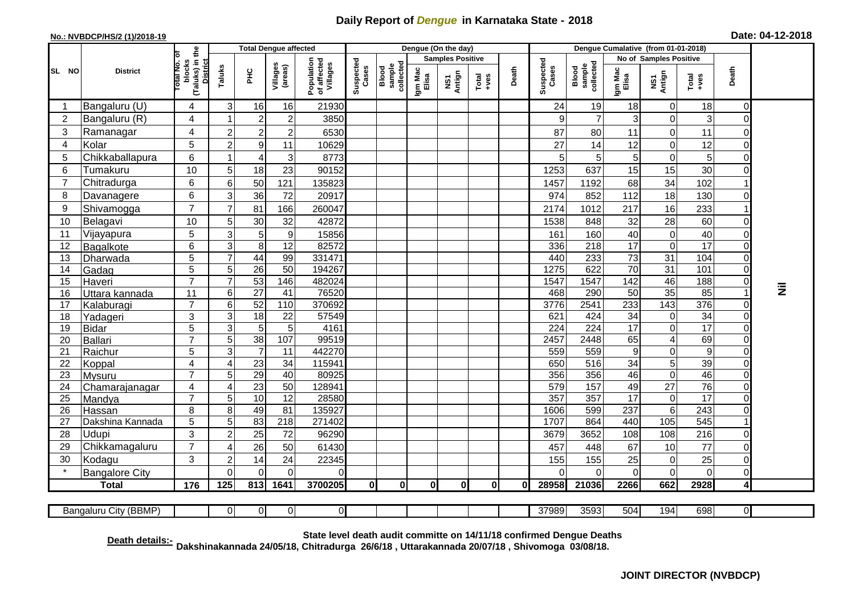## **Daily Report of** *Dengue* **in Karnataka State - 2018**

## **No.: NVBDCP/HS/2 (1)/2018-19 Date: 04-12-2018**

|                                                                                                       | <b>District</b>                                                                                                                                                                       |                                                   | <b>Total Dengue affected</b> |                         |                           |                                       |                    |                              |                         | Dengue (On the day) |                                                                                                                                                                                                                                                                                                                                                                                                             |              |                    |                              |                  |                        |                  |                |           |
|-------------------------------------------------------------------------------------------------------|---------------------------------------------------------------------------------------------------------------------------------------------------------------------------------------|---------------------------------------------------|------------------------------|-------------------------|---------------------------|---------------------------------------|--------------------|------------------------------|-------------------------|---------------------|-------------------------------------------------------------------------------------------------------------------------------------------------------------------------------------------------------------------------------------------------------------------------------------------------------------------------------------------------------------------------------------------------------------|--------------|--------------------|------------------------------|------------------|------------------------|------------------|----------------|-----------|
|                                                                                                       |                                                                                                                                                                                       | ō                                                 |                              |                         |                           |                                       | Suspected<br>Cases | Blood<br>sample<br>collected | <b>Samples Positive</b> |                     |                                                                                                                                                                                                                                                                                                                                                                                                             |              |                    |                              |                  | No of Samples Positive |                  |                |           |
| SL NO                                                                                                 |                                                                                                                                                                                       | (Taluks) in the<br>District<br>otal No.<br>blocks | Taluks                       | $\frac{C}{L}$           | Villages<br>(areas)       | Population<br>of affected<br>Villages |                    |                              | Igm Mac<br>Elisa        | NS1<br>Antign       | $\begin{array}{c}\n\text{Total} \\ \text{1-4} \\ \text{1-4} \\ \text{1-4} \\ \text{1-4} \\ \text{1-4} \\ \text{1-4} \\ \text{1-4} \\ \text{1-4} \\ \text{1-4} \\ \text{1-4} \\ \text{1-4} \\ \text{1-4} \\ \text{1-4} \\ \text{1-4} \\ \text{1-4} \\ \text{1-4} \\ \text{1-4} \\ \text{1-4} \\ \text{1-4} \\ \text{1-4} \\ \text{1-4} \\ \text{1-4} \\ \text{1-4} \\ \text{1-4} \\ \text{1-4} \\ \text{1-4$ | Death        | Suspected<br>Cases | Blood<br>sample<br>collected | Igm Mac<br>Elisa | NS1<br>Antign          | Total<br>$+ve$ s | Death          |           |
| -1                                                                                                    | Bangaluru (U)                                                                                                                                                                         | $\overline{4}$                                    | $\sqrt{3}$                   | 16                      | 16                        | 21930                                 |                    |                              |                         |                     |                                                                                                                                                                                                                                                                                                                                                                                                             |              | 24                 | 19                           | 18               | $\mathbf 0$            | 18               | $\mathbf 0$    |           |
| 2                                                                                                     | Bangaluru (R)                                                                                                                                                                         | $\overline{4}$                                    | -1                           | $\overline{2}$          | $\overline{c}$            | 3850                                  |                    |                              |                         |                     |                                                                                                                                                                                                                                                                                                                                                                                                             |              | 9                  | $\overline{7}$               | 3                | 0                      | 3                | $\Omega$       |           |
| 3                                                                                                     | Ramanagar                                                                                                                                                                             | 4                                                 | $\overline{2}$               | $\overline{2}$          | $\mathbf 2$               | 6530                                  |                    |                              |                         |                     |                                                                                                                                                                                                                                                                                                                                                                                                             |              | 87                 | 80                           | 11               | 0                      | 11               | 0              |           |
| $\overline{4}$                                                                                        | Kolar                                                                                                                                                                                 | 5                                                 | $\overline{2}$               | $\boldsymbol{9}$        | 11                        | 10629                                 |                    |                              |                         |                     |                                                                                                                                                                                                                                                                                                                                                                                                             |              | 27                 | 14                           | 12               | 0                      | 12               | $\overline{0}$ |           |
| 5                                                                                                     | Chikkaballapura                                                                                                                                                                       | 6                                                 |                              | $\overline{4}$          | $\ensuremath{\mathsf{3}}$ | 8773                                  |                    |                              |                         |                     |                                                                                                                                                                                                                                                                                                                                                                                                             |              | 5                  | 5                            | 5                | $\boldsymbol{0}$       | 5                | $\mathbf 0$    |           |
| 6                                                                                                     | Tumakuru                                                                                                                                                                              | 10                                                | 5                            | 18                      | 23                        | 90152                                 |                    |                              |                         |                     |                                                                                                                                                                                                                                                                                                                                                                                                             |              | 1253               | 637                          | 15               | 15                     | 30               | $\mathbf 0$    |           |
| 7                                                                                                     | Chitradurga                                                                                                                                                                           | 6                                                 | 6                            | 50                      | 121                       | 135823                                |                    |                              |                         |                     |                                                                                                                                                                                                                                                                                                                                                                                                             |              | 1457               | 1192                         | 68               | 34                     | 102              |                |           |
| 8                                                                                                     | Davanagere                                                                                                                                                                            | $\,6$                                             | 3                            | 36                      | 72                        | 20917                                 |                    |                              |                         |                     |                                                                                                                                                                                                                                                                                                                                                                                                             |              | 974                | 852                          | 112              | 18                     | 130              | $\mathbf 0$    |           |
| $\boldsymbol{9}$                                                                                      | Shivamogga                                                                                                                                                                            | $\overline{7}$                                    | $\overline{7}$               | 81                      | 166                       | 260047                                |                    |                              |                         |                     |                                                                                                                                                                                                                                                                                                                                                                                                             |              | 2174               | 1012                         | 217              | 16                     | 233              |                |           |
| 10                                                                                                    | Belagavi                                                                                                                                                                              | 10                                                | 5                            | 30                      | 32                        | 42872                                 |                    |                              |                         |                     |                                                                                                                                                                                                                                                                                                                                                                                                             |              | 1538               | 848                          | 32               | 28                     | 60               | $\mathbf 0$    |           |
| 11                                                                                                    | Vijayapura                                                                                                                                                                            | 5                                                 | $\mathbf{3}$                 | 5                       | $\boldsymbol{9}$          | 15856                                 |                    |                              |                         |                     |                                                                                                                                                                                                                                                                                                                                                                                                             |              | 161                | 160                          | 40               | $\pmb{0}$              | 40               | $\Omega$       |           |
| 12                                                                                                    | Bagalkote                                                                                                                                                                             | 6                                                 | $\mathsf 3$                  | $\overline{\mathbf{8}}$ | $\overline{12}$           | 82572                                 |                    |                              |                         |                     |                                                                                                                                                                                                                                                                                                                                                                                                             |              | 336                | $\overline{218}$             | $\overline{17}$  | $\overline{0}$         | $\overline{17}$  | $\mathbf 0$    |           |
| 13                                                                                                    | Dharwada                                                                                                                                                                              | $\overline{5}$                                    | $\overline{7}$               | 44                      | 99                        | 331471                                |                    |                              |                         |                     |                                                                                                                                                                                                                                                                                                                                                                                                             |              | 440                | 233                          | $\overline{73}$  | 31                     | 104              | $\mathbf 0$    |           |
| 14                                                                                                    | Gadag                                                                                                                                                                                 | $\overline{5}$                                    | $\overline{5}$               | $\overline{26}$         | $\overline{50}$           | 194267                                |                    |                              |                         |                     |                                                                                                                                                                                                                                                                                                                                                                                                             |              | 1275               | 622                          | $\overline{70}$  | $\overline{31}$        | 101              | $\mathbf 0$    |           |
| 15                                                                                                    | Haveri                                                                                                                                                                                | $\overline{7}$                                    | 7                            | 53                      | 146                       | 482024                                |                    |                              |                         |                     |                                                                                                                                                                                                                                                                                                                                                                                                             |              | 1547               | 1547                         | 142              | 46                     | 188              | $\mathbf 0$    |           |
| 16                                                                                                    | Uttara kannada                                                                                                                                                                        | 11                                                | $6\phantom{1}6$              | $\overline{27}$         | $\overline{41}$           | 76520                                 |                    |                              |                         |                     |                                                                                                                                                                                                                                                                                                                                                                                                             |              | 468                | 290                          | 50               | $\overline{35}$        | 85               |                | $\bar{z}$ |
| 17                                                                                                    | Kalaburagi                                                                                                                                                                            | $\overline{7}$                                    | $\,6$                        | 52                      | 110                       | 370692                                |                    |                              |                         |                     |                                                                                                                                                                                                                                                                                                                                                                                                             |              | 3776               | 2541                         | 233              | 143                    | 376              | $\mathbf 0$    |           |
| 18                                                                                                    | Yadageri                                                                                                                                                                              | 3                                                 | $\mathbf{3}$                 | $\overline{18}$         | 22                        | 57549                                 |                    |                              |                         |                     |                                                                                                                                                                                                                                                                                                                                                                                                             |              | 621                | 424                          | 34               | 0                      | $\overline{34}$  | $\mathbf 0$    |           |
| 19                                                                                                    | Bidar                                                                                                                                                                                 | $\overline{5}$                                    | $\overline{3}$               | $\overline{5}$          | $\overline{5}$            | 4161                                  |                    |                              |                         |                     |                                                                                                                                                                                                                                                                                                                                                                                                             |              | $\overline{224}$   | 224                          | $\overline{17}$  | $\overline{0}$         | 17               | $\mathbf 0$    |           |
| 20                                                                                                    | Ballari                                                                                                                                                                               | $\overline{7}$                                    | 5                            | 38                      | 107                       | 99519                                 |                    |                              |                         |                     |                                                                                                                                                                                                                                                                                                                                                                                                             |              | 2457               | 2448                         | 65               | 4                      | 69               | $\overline{0}$ |           |
| 21                                                                                                    | Raichur                                                                                                                                                                               | 5                                                 | 3                            | $\overline{7}$          | 11                        | 442270                                |                    |                              |                         |                     |                                                                                                                                                                                                                                                                                                                                                                                                             |              | 559                | 559                          | 9                | 0                      | $\boldsymbol{9}$ | $\overline{0}$ |           |
| 22                                                                                                    | Koppal                                                                                                                                                                                | 4                                                 | $\overline{4}$               | 23                      | 34                        | 115941                                |                    |                              |                         |                     |                                                                                                                                                                                                                                                                                                                                                                                                             |              | 650                | 516                          | 34               | 5                      | 39               | $\overline{0}$ |           |
| 23                                                                                                    | Mysuru                                                                                                                                                                                | $\overline{7}$                                    | 5                            | 29                      | 40                        | 80925                                 |                    |                              |                         |                     |                                                                                                                                                                                                                                                                                                                                                                                                             |              | 356                | 356                          | 46               | $\overline{0}$         | 46               | $\mathbf 0$    |           |
| 24                                                                                                    | Chamarajanagar                                                                                                                                                                        | 4                                                 | $\overline{4}$               | 23                      | 50                        | 128941                                |                    |                              |                         |                     |                                                                                                                                                                                                                                                                                                                                                                                                             |              | 579                | 157                          | 49               | $\overline{27}$        | 76               | $\mathbf 0$    |           |
| 25                                                                                                    | Mandya                                                                                                                                                                                | $\overline{7}$                                    | 5                            | 10                      | $\overline{12}$           | 28580                                 |                    |                              |                         |                     |                                                                                                                                                                                                                                                                                                                                                                                                             |              | 357                | 357                          | $\overline{17}$  | 0                      | $\overline{17}$  | $\mathbf 0$    |           |
| 26                                                                                                    | Hassan                                                                                                                                                                                | 8<br>$\overline{5}$                               | 8<br>5                       | 49<br>83                | 81<br>$\overline{218}$    | 135927<br>271402                      |                    |                              |                         |                     |                                                                                                                                                                                                                                                                                                                                                                                                             |              | 1606<br>1707       | 599<br>864                   | 237<br>440       | $\,6\,$<br>105         | 243<br>545       | $\mathbf 0$    |           |
| 27<br>28                                                                                              | Dakshina Kannada                                                                                                                                                                      | 3                                                 |                              |                         |                           |                                       |                    |                              |                         |                     |                                                                                                                                                                                                                                                                                                                                                                                                             |              |                    |                              |                  |                        |                  |                |           |
|                                                                                                       | <b>Udupi</b>                                                                                                                                                                          | $\overline{7}$                                    | $\overline{2}$               | 25                      | 72                        | 96290                                 |                    |                              |                         |                     |                                                                                                                                                                                                                                                                                                                                                                                                             |              | 3679               | 3652                         | 108              | 108                    | 216<br>77        | $\mathbf 0$    |           |
| 29                                                                                                    | Chikkamagaluru                                                                                                                                                                        |                                                   | $\overline{4}$               | 26                      | 50                        | 61430                                 |                    |                              |                         |                     |                                                                                                                                                                                                                                                                                                                                                                                                             |              | 457                | 448                          | 67               | 10                     |                  | $\mathbf 0$    |           |
| 30<br>$\star$                                                                                         | Kodagu                                                                                                                                                                                | 3                                                 | $\overline{2}$               | 14                      | 24                        | 22345                                 |                    |                              |                         |                     |                                                                                                                                                                                                                                                                                                                                                                                                             |              | 155                | 155                          | 25               | 0                      | 25               | $\Omega$       |           |
|                                                                                                       | <b>Bangalore City</b>                                                                                                                                                                 |                                                   | $\mathbf{0}$                 | $\Omega$                | $\Omega$                  | 0                                     |                    |                              |                         |                     |                                                                                                                                                                                                                                                                                                                                                                                                             |              | $\Omega$           | $\Omega$                     | $\Omega$         | $\mathbf 0$            | $\overline{O}$   | $\mathbf 0$    |           |
|                                                                                                       | <b>Total</b>                                                                                                                                                                          | $\frac{1}{176}$                                   | 125                          | 813                     | 1641                      | 3700205                               | $\mathbf{0}$       | 0                            | $\mathbf{0}$            | 0                   | 0l                                                                                                                                                                                                                                                                                                                                                                                                          | $\mathbf{0}$ | 28958              | 21036                        | 2266             | 662                    | 2928             | 4              |           |
| 194<br>$\Omega$<br>37989<br>3593<br>504<br>698<br>Bangaluru City (BBMP)<br>0<br>0<br>0<br>$\mathbf 0$ |                                                                                                                                                                                       |                                                   |                              |                         |                           |                                       |                    |                              |                         |                     |                                                                                                                                                                                                                                                                                                                                                                                                             |              |                    |                              |                  |                        |                  |                |           |
|                                                                                                       | State level death audit committe on 14/11/18 confirmed Dengue Deaths<br>Death details:-<br>Dakshinakannada 24/05/18, Chitradurga 26/6/18, Uttarakannada 20/07/18, Shivomoga 03/08/18. |                                                   |                              |                         |                           |                                       |                    |                              |                         |                     |                                                                                                                                                                                                                                                                                                                                                                                                             |              |                    |                              |                  |                        |                  |                |           |